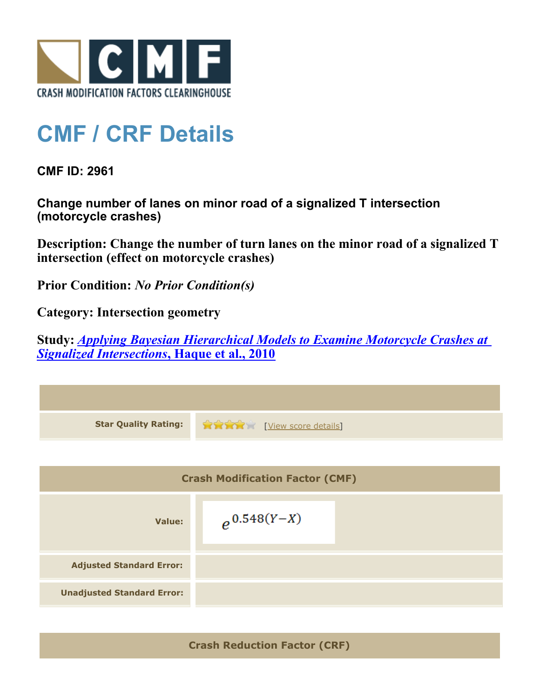

## **CMF / CRF Details**

**CMF ID: 2961**

**Change number of lanes on minor road of a signalized T intersection (motorcycle crashes)**

**Description: Change the number of turn lanes on the minor road of a signalized T intersection (effect on motorcycle crashes)**

**Prior Condition:** *No Prior Condition(s)*

**Category: Intersection geometry**

**Study:** *[Applying Bayesian Hierarchical Models to Examine Motorcycle Crashes at](http://www.cmfclearinghouse.org/study_detail.cfm?stid=201) [Signalized Intersections](http://www.cmfclearinghouse.org/study_detail.cfm?stid=201)***[, Haque et al., 2010](http://www.cmfclearinghouse.org/study_detail.cfm?stid=201)**



**Crash Reduction Factor (CRF)**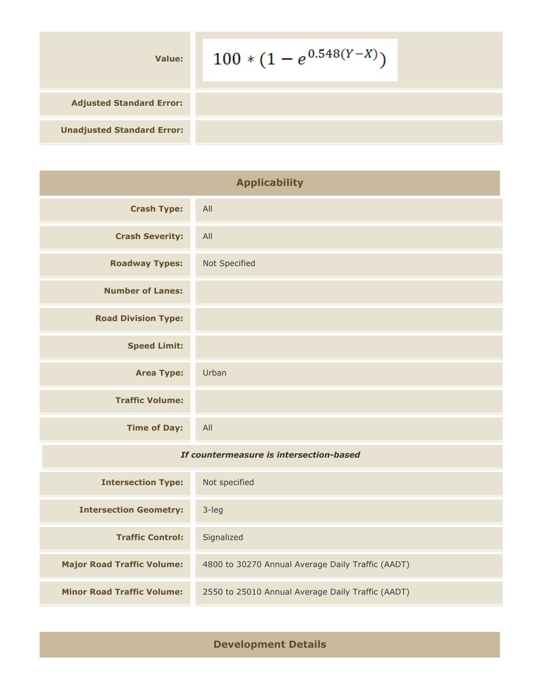| Value:                            | $100 * (1 - e^{0.548(Y-X)})$ |  |
|-----------------------------------|------------------------------|--|
| <b>Adjusted Standard Error:</b>   |                              |  |
| <b>Unadjusted Standard Error:</b> |                              |  |

| <b>Applicability</b>       |               |
|----------------------------|---------------|
| <b>Crash Type:</b>         | All           |
| <b>Crash Severity:</b>     | All           |
| <b>Roadway Types:</b>      | Not Specified |
| <b>Number of Lanes:</b>    |               |
| <b>Road Division Type:</b> |               |
| <b>Speed Limit:</b>        |               |
| <b>Area Type:</b>          | Urban         |
| <b>Traffic Volume:</b>     |               |
| <b>Time of Day:</b>        | All           |

## *If countermeasure is intersection-based*

| <b>Intersection Type:</b>         | Not specified                                     |
|-----------------------------------|---------------------------------------------------|
| <b>Intersection Geometry:</b>     | $3$ -leg                                          |
| <b>Traffic Control:</b>           | Signalized                                        |
| <b>Major Road Traffic Volume:</b> | 4800 to 30270 Annual Average Daily Traffic (AADT) |
| <b>Minor Road Traffic Volume:</b> | 2550 to 25010 Annual Average Daily Traffic (AADT) |

## **Development Details**